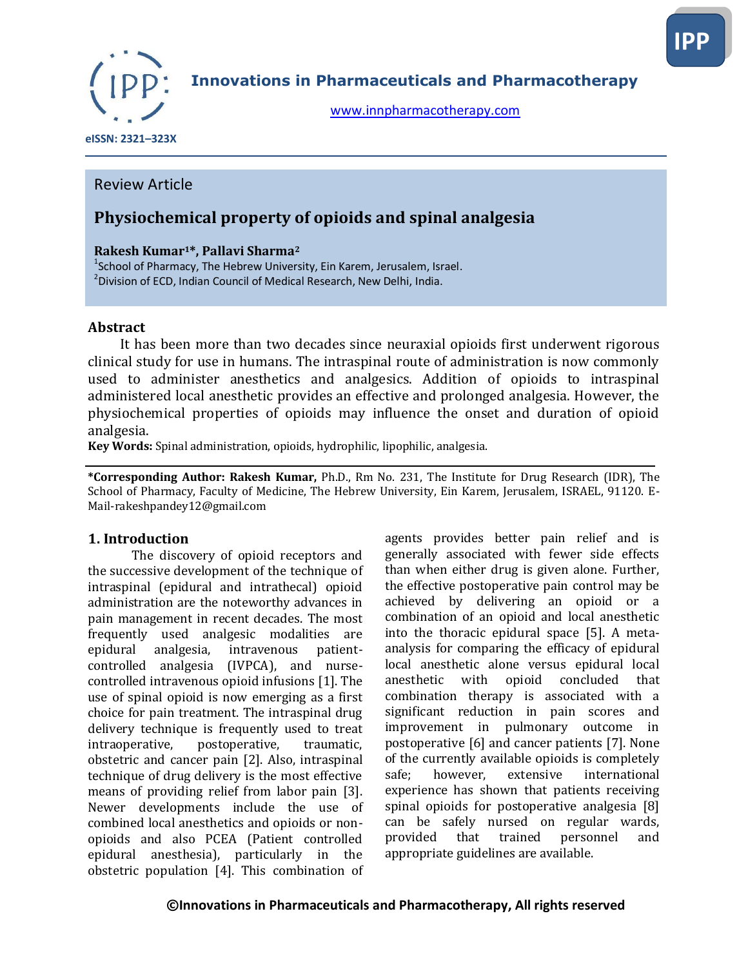

**Innovations in Pharmaceuticals and Pharmacotherapy**

[www.innpharmacotherapy.com](http://www.innpharmacotherapy.com/)

 **eISSN: 2321–323X**

## Review Article

# **Physiochemical property of opioids and spinal analgesia**

### **Rakesh Kumar1\*, Pallavi Sharma<sup>2</sup>**

 $^1$ School of Pharmacy, The Hebrew University, Ein Karem, Jerusalem, Israel.  $^2$ Division of ECD, Indian Council of Medical Research, New Delhi, India.

#### **Abstract**

 It has been more than two decades since neuraxial opioids first underwent rigorous clinical study for use in humans. The intraspinal route of administration is now commonly used to administer anesthetics and analgesics. Addition of opioids to intraspinal administered local anesthetic provides an effective and prolonged analgesia. However, the physiochemical properties of opioids may influence the onset and duration of opioid analgesia.

**Key Words:** Spinal administration, opioids, hydrophilic, lipophilic, analgesia.

**\*Corresponding Author: Rakesh Kumar,** Ph.D., Rm No. 231, The Institute for Drug Research (IDR), The School of Pharmacy, Faculty of Medicine, The Hebrew University, Ein Karem, Jerusalem, ISRAEL, 91120. E-Mail-rakeshpandey12@gmail.com

#### **1. Introduction**

The discovery of opioid receptors and the successive development of the technique of intraspinal (epidural and intrathecal) opioid administration are the noteworthy advances in pain management in recent decades. The most frequently used analgesic modalities are epidural analgesia, intravenous patientcontrolled analgesia (IVPCA), and nursecontrolled intravenous opioid infusions [1]. The use of spinal opioid is now emerging as a first choice for pain treatment. The intraspinal drug delivery technique is frequently used to treat intraoperative, postoperative, traumatic, obstetric and cancer pain [2]. Also, intraspinal technique of drug delivery is the most effective means of providing relief from labor pain [3]. Newer developments include the use of combined local anesthetics and opioids or nonopioids and also PCEA (Patient controlled epidural anesthesia), particularly in the obstetric population [4]. This combination of

agents provides better pain relief and is generally associated with fewer side effects than when either drug is given alone. Further, the effective postoperative pain control may be achieved by delivering an opioid or a combination of an opioid and local anesthetic into the thoracic epidural space [5]. A metaanalysis for comparing the efficacy of epidural local anesthetic alone versus epidural local anesthetic with opioid concluded that combination therapy is associated with a significant reduction in pain scores and improvement in pulmonary outcome in postoperative [6] and cancer patients [7]. None of the currently available opioids is completely safe; however, extensive international experience has shown that patients receiving spinal opioids for postoperative analgesia [8] can be safely nursed on regular wards, provided that trained personnel and appropriate guidelines are available.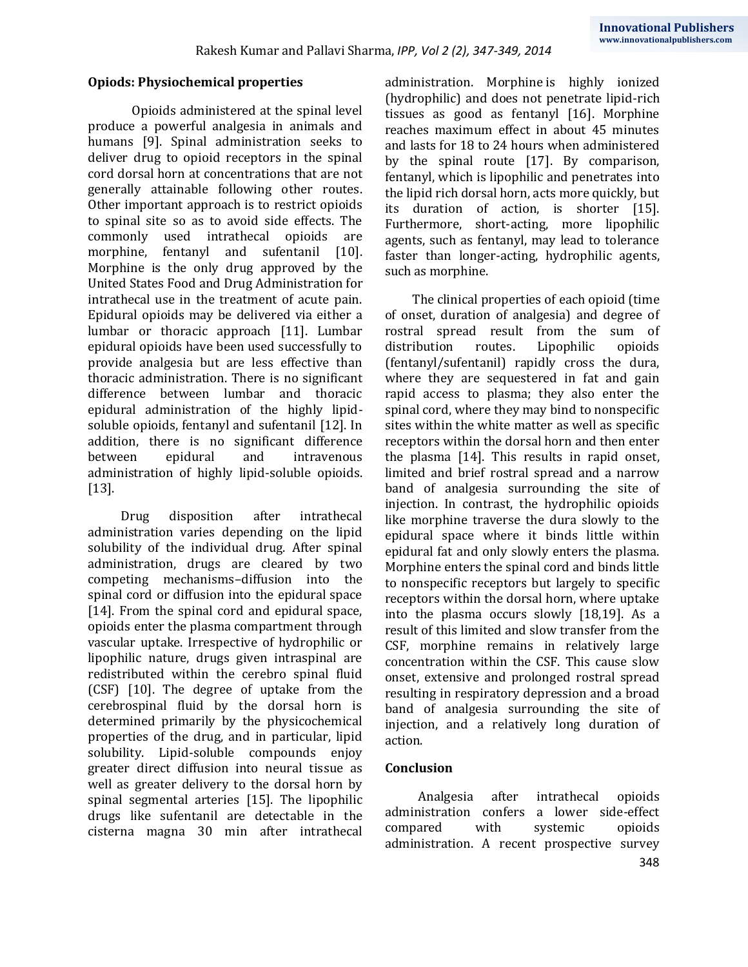#### **Opiods: Physiochemical properties**

Opioids administered at the spinal level produce a powerful analgesia in animals and humans [9]. Spinal administration seeks to deliver drug to opioid receptors in the spinal cord dorsal horn at concentrations that are not generally attainable following other routes. Other important approach is to restrict opioids to spinal site so as to avoid side effects. The commonly used intrathecal opioids are morphine, fentanyl and sufentanil [10]. Morphine is the only drug approved by the United States Food and Drug Administration for intrathecal use in the treatment of acute pain. Epidural opioids may be delivered via either a lumbar or thoracic approach [11]. Lumbar epidural opioids have been used successfully to provide analgesia but are less effective than thoracic administration. There is no significant difference between lumbar and thoracic epidural administration of the highly lipidsoluble opioids, fentanyl and sufentanil [12]. In addition, there is no significant difference between epidural and intravenous administration of highly lipid-soluble opioids. [13].

Drug disposition after intrathecal administration varies depending on the lipid solubility of the individual drug. After spinal administration, drugs are cleared by two competing mechanisms–diffusion into the spinal cord or diffusion into the epidural space [14]. From the spinal cord and epidural space, opioids enter the plasma compartment through vascular uptake. Irrespective of hydrophilic or lipophilic nature, drugs given intraspinal are redistributed within the cerebro spinal fluid (CSF) [10]. The degree of uptake from the cerebrospinal fluid by the dorsal horn is determined primarily by the physicochemical properties of the drug, and in particular, lipid solubility. Lipid-soluble compounds enjoy greater direct diffusion into neural tissue as well as greater delivery to the dorsal horn by spinal segmental arteries [15]. The lipophilic drugs like sufentanil are detectable in the cisterna magna 30 min after intrathecal administration. [Morphine](http://www.uptodate.com/contents/morphine-sulfate-drug-information?source=see_link) is highly ionized (hydrophilic) and does not penetrate lipid-rich tissues as good as [fentanyl](http://www.uptodate.com/contents/fentanyl-drug-information?source=see_link) [16]. Morphine reaches maximum effect in about 45 minutes and lasts for 18 to 24 hours when administered by the spinal route [17]. By comparison, fentanyl, which is lipophilic and penetrates into the lipid rich dorsal horn, acts more quickly, but its duration of action, is shorter [15]. Furthermore, short-acting, more lipophilic agents, such as fentanyl, may lead to tolerance faster than longer-acting, hydrophilic agents, such as morphine.

The clinical properties of each opioid (time of onset, duration of analgesia) and degree of rostral spread result from the sum of distribution routes. Lipophilic opioids (fentanyl/sufentanil) rapidly cross the dura, where they are sequestered in fat and gain rapid access to plasma; they also enter the spinal cord, where they may bind to nonspecific sites within the white matter as well as specific receptors within the dorsal horn and then enter the plasma [14]. This results in rapid onset, limited and brief rostral spread and a narrow band of analgesia surrounding the site of injection. In contrast, the hydrophilic opioids like morphine traverse the dura slowly to the epidural space where it binds little within epidural fat and only slowly enters the plasma. Morphine enters the spinal cord and binds little to nonspecific receptors but largely to specific receptors within the dorsal horn, where uptake into the plasma occurs slowly [18,19]. As a result of this limited and slow transfer from the CSF, morphine remains in relatively large concentration within the CSF. This cause slow onset, extensive and prolonged rostral spread resulting in respiratory depression and a broad band of analgesia surrounding the site of injection, and a relatively long duration of action.

#### **Conclusion**

Analgesia after intrathecal opioids administration confers a lower side-effect compared with systemic opioids administration. A recent prospective survey